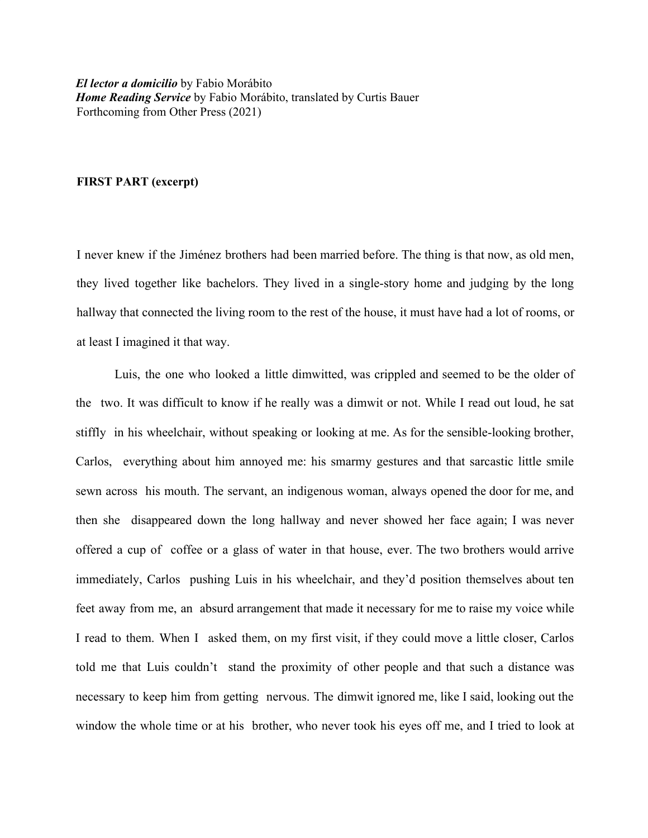*El lector a domicilio* by Fabio Morábito *Home Reading Service* by Fabio Morábito, translated by Curtis Bauer Forthcoming from Other Press (2021)

## **FIRST PART (excerpt)**

I never knew if the Jiménez brothers had been married before. The thing is that now, as old men, they lived together like bachelors. They lived in a single-story home and judging by the long hallway that connected the living room to the rest of the house, it must have had a lot of rooms, or at least I imagined it that way.

Luis, the one who looked a little dimwitted, was crippled and seemed to be the older of the two. It was difficult to know if he really was a dimwit or not. While I read out loud, he sat stiffly in his wheelchair, without speaking or looking at me. As for the sensible-looking brother, Carlos, everything about him annoyed me: his smarmy gestures and that sarcastic little smile sewn across his mouth. The servant, an indigenous woman, always opened the door for me, and then she disappeared down the long hallway and never showed her face again; I was never offered a cup of coffee or a glass of water in that house, ever. The two brothers would arrive immediately, Carlos pushing Luis in his wheelchair, and they'd position themselves about ten feet away from me, an absurd arrangement that made it necessary for me to raise my voice while I read to them. When I asked them, on my first visit, if they could move a little closer, Carlos told me that Luis couldn't stand the proximity of other people and that such a distance was necessary to keep him from getting nervous. The dimwit ignored me, like I said, looking out the window the whole time or at his brother, who never took his eyes off me, and I tried to look at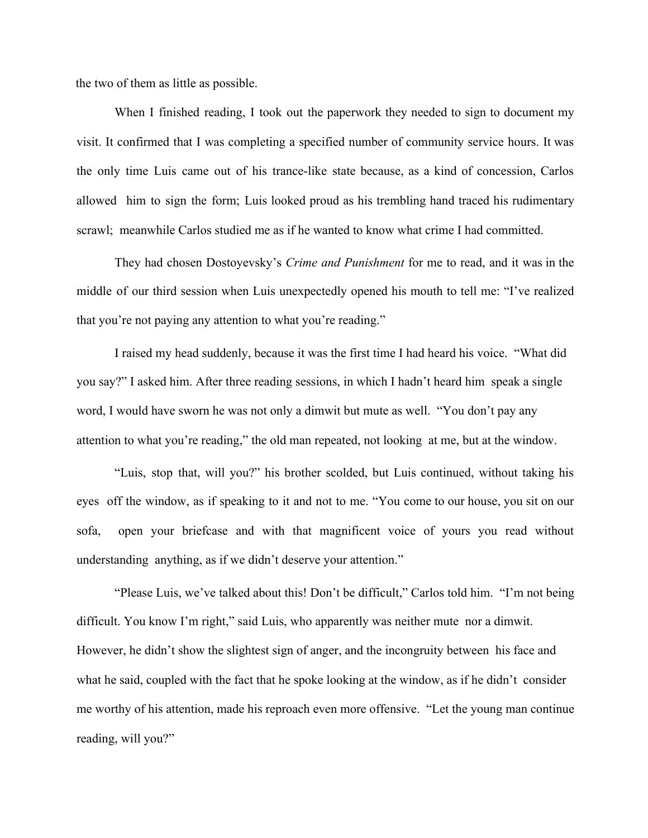the two of them as little as possible.

When I finished reading, I took out the paperwork they needed to sign to document my visit. It confirmed that I was completing a specified number of community service hours. It was the only time Luis came out of his trance-like state because, as a kind of concession, Carlos allowed him to sign the form; Luis looked proud as his trembling hand traced his rudimentary scrawl; meanwhile Carlos studied me as if he wanted to know what crime I had committed.

They had chosen Dostoyevsky's *Crime and Punishment* for me to read, and it was in the middle of our third session when Luis unexpectedly opened his mouth to tell me: "I've realized that you're not paying any attention to what you're reading."

I raised my head suddenly, because it was the first time I had heard his voice. "What did you say?" I asked him. After three reading sessions, in which I hadn't heard him speak a single word, I would have sworn he was not only a dimwit but mute as well. "You don't pay any attention to what you're reading," the old man repeated, not looking at me, but at the window.

"Luis, stop that, will you?" his brother scolded, but Luis continued, without taking his eyes off the window, as if speaking to it and not to me. "You come to our house, you sit on our sofa, open your briefcase and with that magnificent voice of yours you read without understanding anything, as if we didn't deserve your attention."

"Please Luis, we've talked about this! Don't be difficult," Carlos told him. "I'm not being difficult. You know I'm right," said Luis, who apparently was neither mute nor a dimwit. However, he didn't show the slightest sign of anger, and the incongruity between his face and what he said, coupled with the fact that he spoke looking at the window, as if he didn't consider me worthy of his attention, made his reproach even more offensive. "Let the young man continue reading, will you?"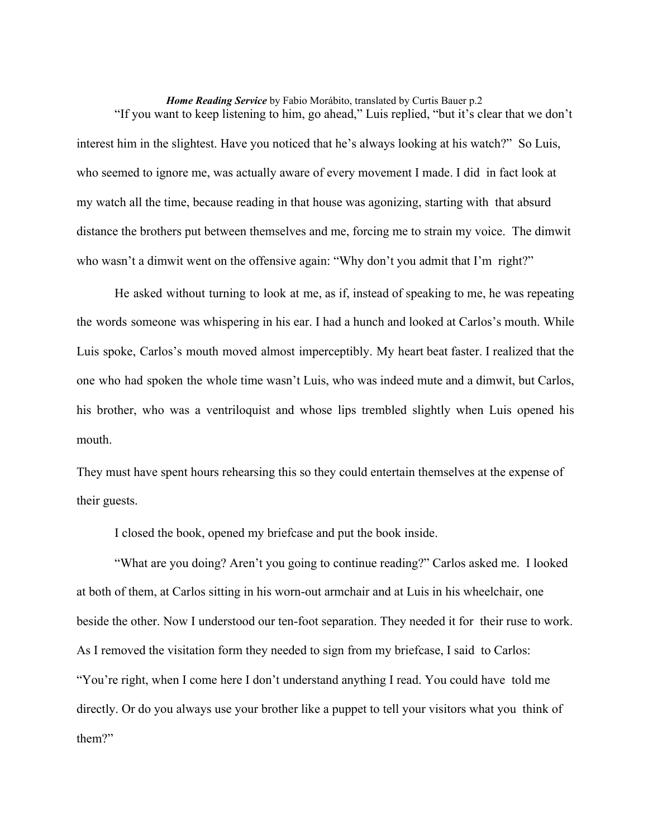*Home Reading Service* by Fabio Morábito, translated by Curtis Bauer p.2 "If you want to keep listening to him, go ahead," Luis replied, "but it's clear that we don't interest him in the slightest. Have you noticed that he's always looking at his watch?" So Luis, who seemed to ignore me, was actually aware of every movement I made. I did in fact look at my watch all the time, because reading in that house was agonizing, starting with that absurd distance the brothers put between themselves and me, forcing me to strain my voice. The dimwit who wasn't a dimwit went on the offensive again: "Why don't you admit that I'm right?"

He asked without turning to look at me, as if, instead of speaking to me, he was repeating the words someone was whispering in his ear. I had a hunch and looked at Carlos's mouth. While Luis spoke, Carlos's mouth moved almost imperceptibly. My heart beat faster. I realized that the one who had spoken the whole time wasn't Luis, who was indeed mute and a dimwit, but Carlos, his brother, who was a ventriloquist and whose lips trembled slightly when Luis opened his mouth.

They must have spent hours rehearsing this so they could entertain themselves at the expense of their guests.

I closed the book, opened my briefcase and put the book inside.

"What are you doing? Aren't you going to continue reading?" Carlos asked me. I looked at both of them, at Carlos sitting in his worn-out armchair and at Luis in his wheelchair, one beside the other. Now I understood our ten-foot separation. They needed it for their ruse to work. As I removed the visitation form they needed to sign from my briefcase, I said to Carlos: "You're right, when I come here I don't understand anything I read. You could have told me directly. Or do you always use your brother like a puppet to tell your visitors what you think of them?"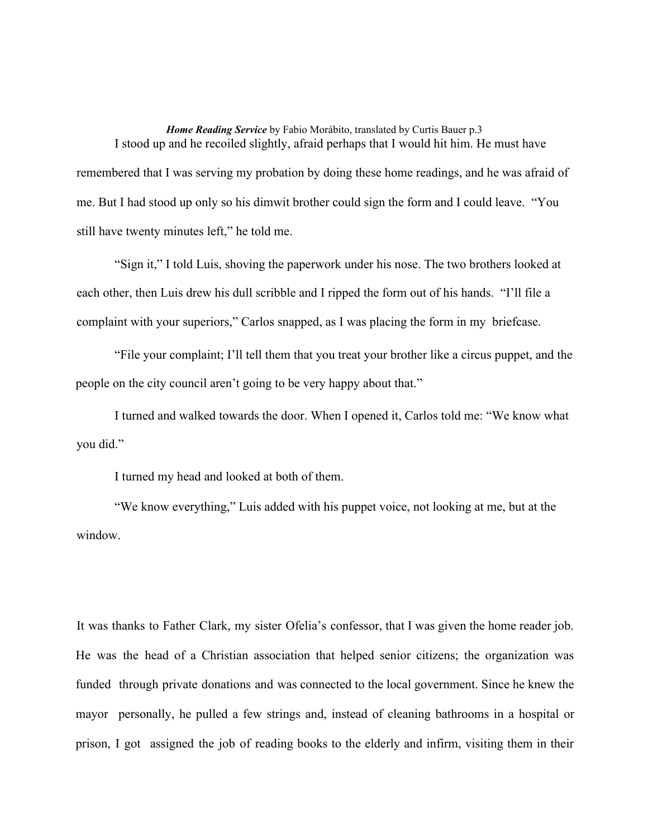*Home Reading Service* by Fabio Morábito, translated by Curtis Bauer p.3 I stood up and he recoiled slightly, afraid perhaps that I would hit him. He must have remembered that I was serving my probation by doing these home readings, and he was afraid of me. But I had stood up only so his dimwit brother could sign the form and I could leave. "You still have twenty minutes left," he told me.

"Sign it," I told Luis, shoving the paperwork under his nose. The two brothers looked at each other, then Luis drew his dull scribble and I ripped the form out of his hands. "I'll file a complaint with your superiors," Carlos snapped, as I was placing the form in my briefcase.

"File your complaint; I'll tell them that you treat your brother like a circus puppet, and the people on the city council aren't going to be very happy about that."

I turned and walked towards the door. When I opened it, Carlos told me: "We know what you did."

I turned my head and looked at both of them.

"We know everything," Luis added with his puppet voice, not looking at me, but at the window.

It was thanks to Father Clark, my sister Ofelia's confessor, that I was given the home reader job. He was the head of a Christian association that helped senior citizens; the organization was funded through private donations and was connected to the local government. Since he knew the mayor personally, he pulled a few strings and, instead of cleaning bathrooms in a hospital or prison, I got assigned the job of reading books to the elderly and infirm, visiting them in their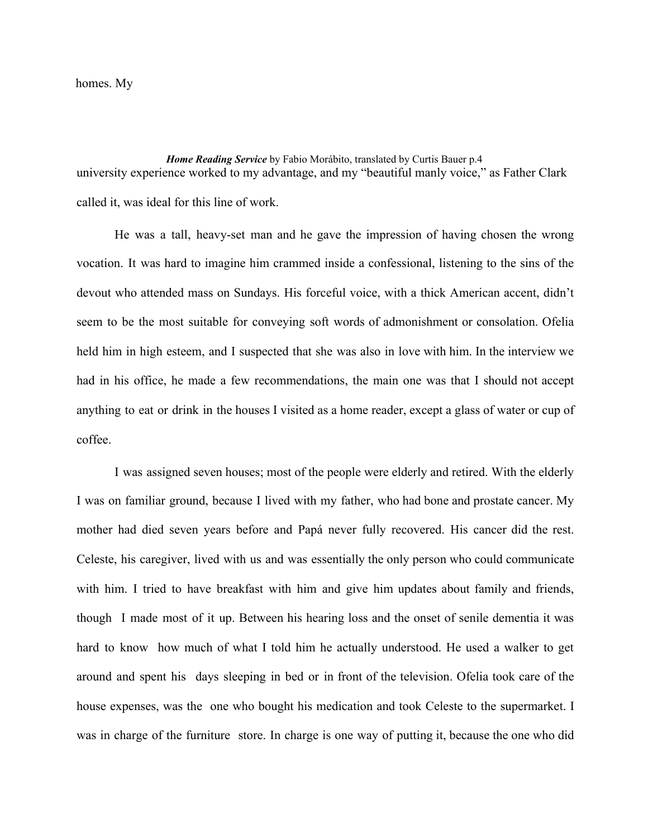*Home Reading Service* by Fabio Morábito, translated by Curtis Bauer p.4 university experience worked to my advantage, and my "beautiful manly voice," as Father Clark called it, was ideal for this line of work.

He was a tall, heavy-set man and he gave the impression of having chosen the wrong vocation. It was hard to imagine him crammed inside a confessional, listening to the sins of the devout who attended mass on Sundays. His forceful voice, with a thick American accent, didn't seem to be the most suitable for conveying soft words of admonishment or consolation. Ofelia held him in high esteem, and I suspected that she was also in love with him. In the interview we had in his office, he made a few recommendations, the main one was that I should not accept anything to eat or drink in the houses I visited as a home reader, except a glass of water or cup of coffee.

I was assigned seven houses; most of the people were elderly and retired. With the elderly I was on familiar ground, because I lived with my father, who had bone and prostate cancer. My mother had died seven years before and Papá never fully recovered. His cancer did the rest. Celeste, his caregiver, lived with us and was essentially the only person who could communicate with him. I tried to have breakfast with him and give him updates about family and friends, though I made most of it up. Between his hearing loss and the onset of senile dementia it was hard to know how much of what I told him he actually understood. He used a walker to get around and spent his days sleeping in bed or in front of the television. Ofelia took care of the house expenses, was the one who bought his medication and took Celeste to the supermarket. I was in charge of the furniture store. In charge is one way of putting it, because the one who did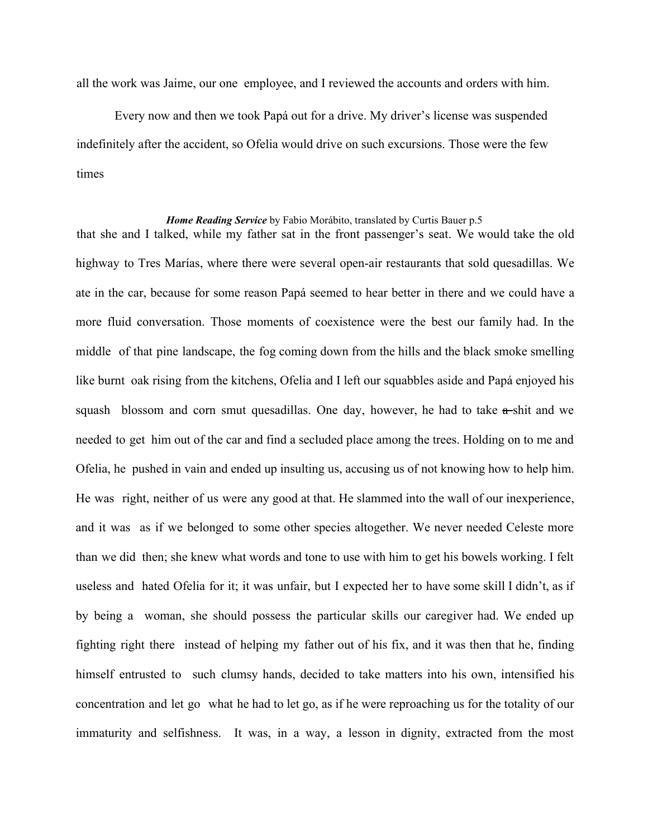all the work was Jaime, our one employee, and I reviewed the accounts and orders with him.

Every now and then we took Papá out for a drive. My driver's license was suspended indefinitely after the accident, so Ofelia would drive on such excursions. Those were the few times

#### *Home Reading Service* by Fabio Morábito, translated by Curtis Bauer p.5

that she and I talked, while my father sat in the front passenger's seat. We would take the old highway to Tres Marías, where there were several open-air restaurants that sold quesadillas. We ate in the car, because for some reason Papá seemed to hear better in there and we could have a more fluid conversation. Those moments of coexistence were the best our family had. In the middle of that pine landscape, the fog coming down from the hills and the black smoke smelling like burnt oak rising from the kitchens, Ofelia and I left our squabbles aside and Papá enjoyed his squash blossom and corn smut quesadillas. One day, however, he had to take  $a$ -shit and we needed to get him out of the car and find a secluded place among the trees. Holding on to me and Ofelia, he pushed in vain and ended up insulting us, accusing us of not knowing how to help him. He was right, neither of us were any good at that. He slammed into the wall of our inexperience, and it was as if we belonged to some other species altogether. We never needed Celeste more than we did then; she knew what words and tone to use with him to get his bowels working. I felt useless and hated Ofelia for it; it was unfair, but I expected her to have some skill I didn't, as if by being a woman, she should possess the particular skills our caregiver had. We ended up fighting right there instead of helping my father out of his fix, and it was then that he, finding himself entrusted to such clumsy hands, decided to take matters into his own, intensified his concentration and let go what he had to let go, as if he were reproaching us for the totality of our immaturity and selfishness. It was, in a way, a lesson in dignity, extracted from the most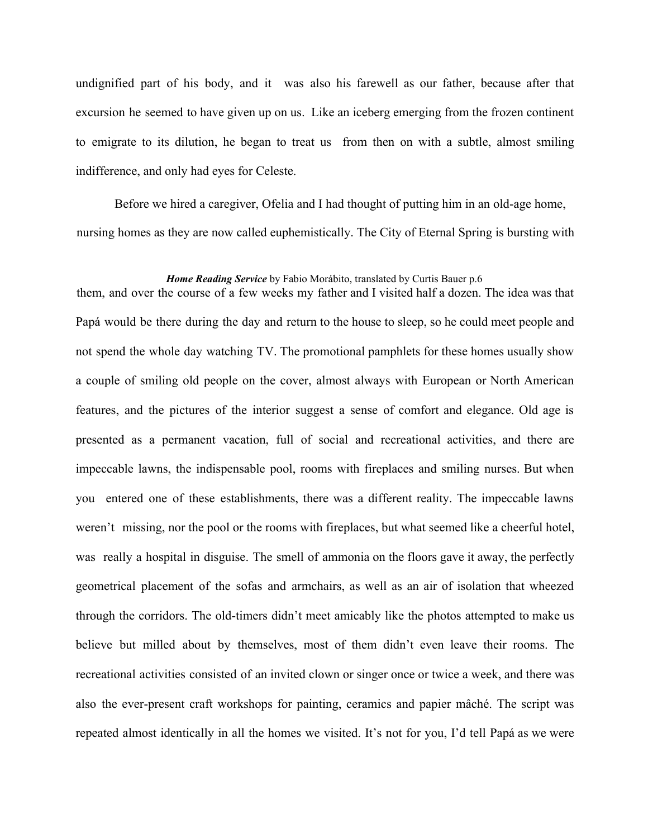undignified part of his body, and it was also his farewell as our father, because after that excursion he seemed to have given up on us. Like an iceberg emerging from the frozen continent to emigrate to its dilution, he began to treat us from then on with a subtle, almost smiling indifference, and only had eyes for Celeste.

Before we hired a caregiver, Ofelia and I had thought of putting him in an old-age home, nursing homes as they are now called euphemistically. The City of Eternal Spring is bursting with

*Home Reading Service* by Fabio Morábito, translated by Curtis Bauer p.6

them, and over the course of a few weeks my father and I visited half a dozen. The idea was that Papá would be there during the day and return to the house to sleep, so he could meet people and not spend the whole day watching TV. The promotional pamphlets for these homes usually show a couple of smiling old people on the cover, almost always with European or North American features, and the pictures of the interior suggest a sense of comfort and elegance. Old age is presented as a permanent vacation, full of social and recreational activities, and there are impeccable lawns, the indispensable pool, rooms with fireplaces and smiling nurses. But when you entered one of these establishments, there was a different reality. The impeccable lawns weren't missing, nor the pool or the rooms with fireplaces, but what seemed like a cheerful hotel, was really a hospital in disguise. The smell of ammonia on the floors gave it away, the perfectly geometrical placement of the sofas and armchairs, as well as an air of isolation that wheezed through the corridors. The old-timers didn't meet amicably like the photos attempted to make us believe but milled about by themselves, most of them didn't even leave their rooms. The recreational activities consisted of an invited clown or singer once or twice a week, and there was also the ever-present craft workshops for painting, ceramics and papier mâché. The script was repeated almost identically in all the homes we visited. It's not for you, I'd tell Papá as we were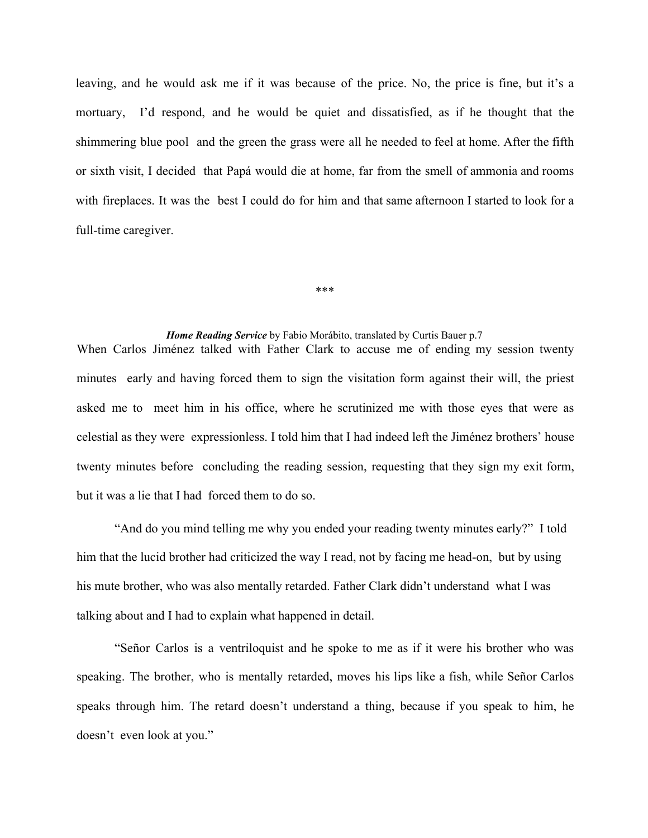leaving, and he would ask me if it was because of the price. No, the price is fine, but it's a mortuary, I'd respond, and he would be quiet and dissatisfied, as if he thought that the shimmering blue pool and the green the grass were all he needed to feel at home. After the fifth or sixth visit, I decided that Papá would die at home, far from the smell of ammonia and rooms with fireplaces. It was the best I could do for him and that same afternoon I started to look for a full-time caregiver.

\*\*\*

### *Home Reading Service* by Fabio Morábito, translated by Curtis Bauer p.7

When Carlos Jiménez talked with Father Clark to accuse me of ending my session twenty minutes early and having forced them to sign the visitation form against their will, the priest asked me to meet him in his office, where he scrutinized me with those eyes that were as celestial as they were expressionless. I told him that I had indeed left the Jiménez brothers' house twenty minutes before concluding the reading session, requesting that they sign my exit form, but it was a lie that I had forced them to do so.

"And do you mind telling me why you ended your reading twenty minutes early?" I told him that the lucid brother had criticized the way I read, not by facing me head-on, but by using his mute brother, who was also mentally retarded. Father Clark didn't understand what I was talking about and I had to explain what happened in detail.

"Señor Carlos is a ventriloquist and he spoke to me as if it were his brother who was speaking. The brother, who is mentally retarded, moves his lips like a fish, while Señor Carlos speaks through him. The retard doesn't understand a thing, because if you speak to him, he doesn't even look at you."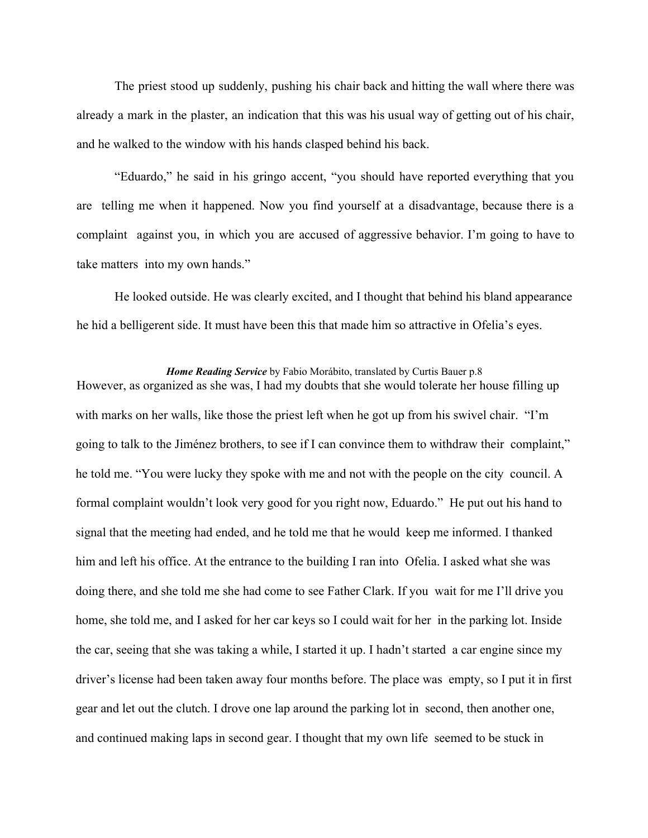The priest stood up suddenly, pushing his chair back and hitting the wall where there was already a mark in the plaster, an indication that this was his usual way of getting out of his chair, and he walked to the window with his hands clasped behind his back.

"Eduardo," he said in his gringo accent, "you should have reported everything that you are telling me when it happened. Now you find yourself at a disadvantage, because there is a complaint against you, in which you are accused of aggressive behavior. I'm going to have to take matters into my own hands."

He looked outside. He was clearly excited, and I thought that behind his bland appearance he hid a belligerent side. It must have been this that made him so attractive in Ofelia's eyes.

*Home Reading Service* by Fabio Morábito, translated by Curtis Bauer p.8 However, as organized as she was, I had my doubts that she would tolerate her house filling up with marks on her walls, like those the priest left when he got up from his swivel chair. "I'm going to talk to the Jiménez brothers, to see if I can convince them to withdraw their complaint," he told me. "You were lucky they spoke with me and not with the people on the city council. A formal complaint wouldn't look very good for you right now, Eduardo." He put out his hand to signal that the meeting had ended, and he told me that he would keep me informed. I thanked him and left his office. At the entrance to the building I ran into Ofelia. I asked what she was doing there, and she told me she had come to see Father Clark. If you wait for me I'll drive you home, she told me, and I asked for her car keys so I could wait for her in the parking lot. Inside the car, seeing that she was taking a while, I started it up. I hadn't started a car engine since my driver's license had been taken away four months before. The place was empty, so I put it in first gear and let out the clutch. I drove one lap around the parking lot in second, then another one, and continued making laps in second gear. I thought that my own life seemed to be stuck in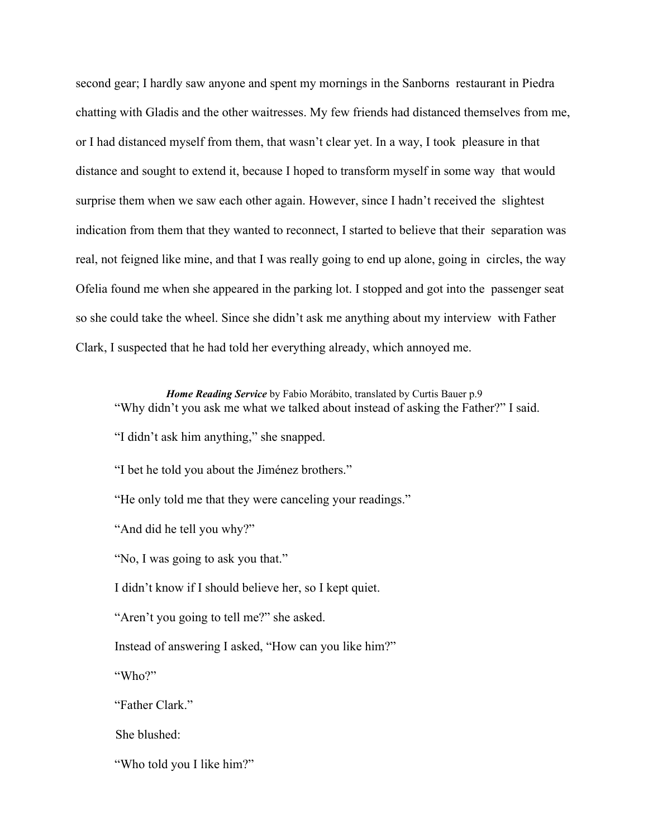second gear; I hardly saw anyone and spent my mornings in the Sanborns restaurant in Piedra chatting with Gladis and the other waitresses. My few friends had distanced themselves from me, or I had distanced myself from them, that wasn't clear yet. In a way, I took pleasure in that distance and sought to extend it, because I hoped to transform myself in some way that would surprise them when we saw each other again. However, since I hadn't received the slightest indication from them that they wanted to reconnect, I started to believe that their separation was real, not feigned like mine, and that I was really going to end up alone, going in circles, the way Ofelia found me when she appeared in the parking lot. I stopped and got into the passenger seat so she could take the wheel. Since she didn't ask me anything about my interview with Father Clark, I suspected that he had told her everything already, which annoyed me.

*Home Reading Service* by Fabio Morábito, translated by Curtis Bauer p.9 "Why didn't you ask me what we talked about instead of asking the Father?" I said.

"I didn't ask him anything," she snapped.

"I bet he told you about the Jiménez brothers."

"He only told me that they were canceling your readings."

"And did he tell you why?"

"No, I was going to ask you that."

I didn't know if I should believe her, so I kept quiet.

"Aren't you going to tell me?" she asked.

Instead of answering I asked, "How can you like him?"

"Who?"

"Father Clark."

She blushed:

"Who told you I like him?"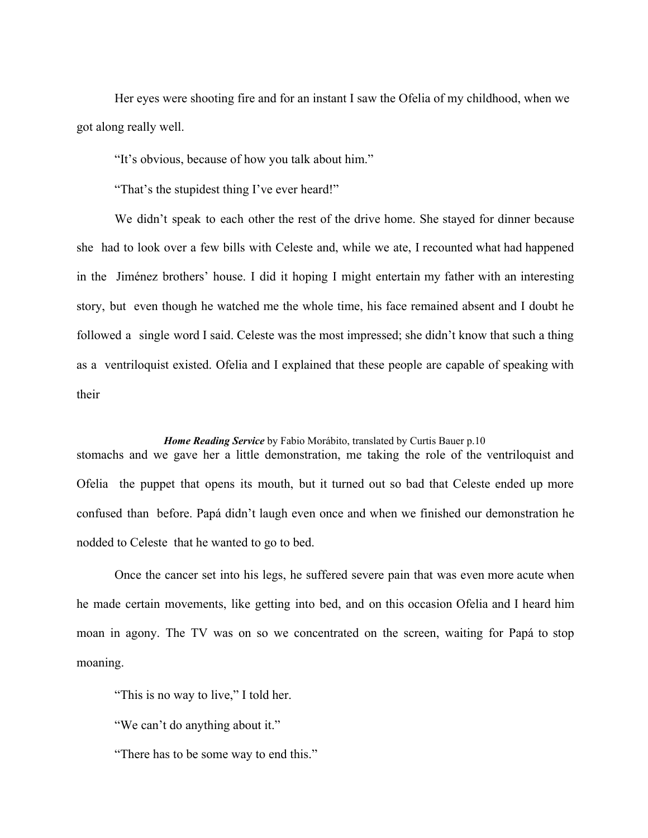Her eyes were shooting fire and for an instant I saw the Ofelia of my childhood, when we got along really well.

"It's obvious, because of how you talk about him."

"That's the stupidest thing I've ever heard!"

We didn't speak to each other the rest of the drive home. She stayed for dinner because she had to look over a few bills with Celeste and, while we ate, I recounted what had happened in the Jiménez brothers' house. I did it hoping I might entertain my father with an interesting story, but even though he watched me the whole time, his face remained absent and I doubt he followed a single word I said. Celeste was the most impressed; she didn't know that such a thing as a ventriloquist existed. Ofelia and I explained that these people are capable of speaking with their

## *Home Reading Service* by Fabio Morábito, translated by Curtis Bauer p.10

stomachs and we gave her a little demonstration, me taking the role of the ventriloquist and Ofelia the puppet that opens its mouth, but it turned out so bad that Celeste ended up more confused than before. Papá didn't laugh even once and when we finished our demonstration he nodded to Celeste that he wanted to go to bed.

Once the cancer set into his legs, he suffered severe pain that was even more acute when he made certain movements, like getting into bed, and on this occasion Ofelia and I heard him moan in agony. The TV was on so we concentrated on the screen, waiting for Papá to stop moaning.

"This is no way to live," I told her.

"We can't do anything about it."

"There has to be some way to end this."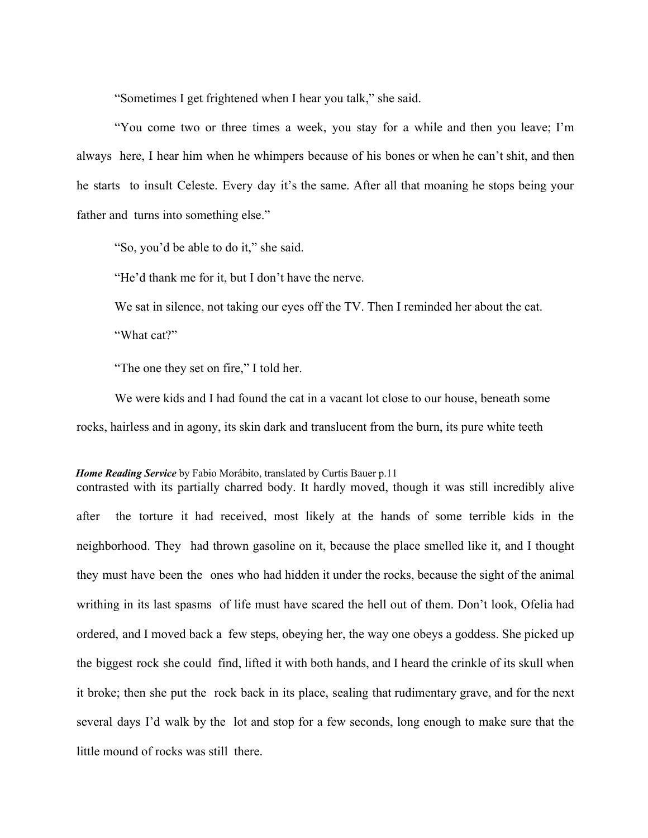"Sometimes I get frightened when I hear you talk," she said.

"You come two or three times a week, you stay for a while and then you leave; I'm always here, I hear him when he whimpers because of his bones or when he can't shit, and then he starts to insult Celeste. Every day it's the same. After all that moaning he stops being your father and turns into something else."

"So, you'd be able to do it," she said.

"He'd thank me for it, but I don't have the nerve.

We sat in silence, not taking our eyes off the TV. Then I reminded her about the cat.

"What cat?"

"The one they set on fire," I told her.

We were kids and I had found the cat in a vacant lot close to our house, beneath some rocks, hairless and in agony, its skin dark and translucent from the burn, its pure white teeth

## *Home Reading Service* by Fabio Morábito, translated by Curtis Bauer p.11

contrasted with its partially charred body. It hardly moved, though it was still incredibly alive after the torture it had received, most likely at the hands of some terrible kids in the neighborhood. They had thrown gasoline on it, because the place smelled like it, and I thought they must have been the ones who had hidden it under the rocks, because the sight of the animal writhing in its last spasms of life must have scared the hell out of them. Don't look, Ofelia had ordered, and I moved back a few steps, obeying her, the way one obeys a goddess. She picked up the biggest rock she could find, lifted it with both hands, and I heard the crinkle of its skull when it broke; then she put the rock back in its place, sealing that rudimentary grave, and for the next several days I'd walk by the lot and stop for a few seconds, long enough to make sure that the little mound of rocks was still there.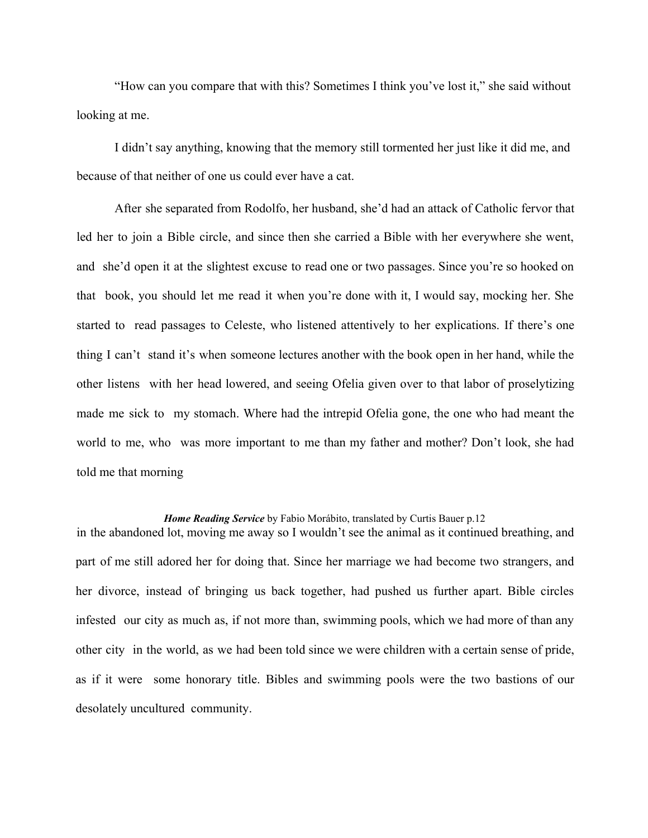"How can you compare that with this? Sometimes I think you've lost it," she said without looking at me.

I didn't say anything, knowing that the memory still tormented her just like it did me, and because of that neither of one us could ever have a cat.

After she separated from Rodolfo, her husband, she'd had an attack of Catholic fervor that led her to join a Bible circle, and since then she carried a Bible with her everywhere she went, and she'd open it at the slightest excuse to read one or two passages. Since you're so hooked on that book, you should let me read it when you're done with it, I would say, mocking her. She started to read passages to Celeste, who listened attentively to her explications. If there's one thing I can't stand it's when someone lectures another with the book open in her hand, while the other listens with her head lowered, and seeing Ofelia given over to that labor of proselytizing made me sick to my stomach. Where had the intrepid Ofelia gone, the one who had meant the world to me, who was more important to me than my father and mother? Don't look, she had told me that morning

# *Home Reading Service* by Fabio Morábito, translated by Curtis Bauer p.12

in the abandoned lot, moving me away so I wouldn't see the animal as it continued breathing, and part of me still adored her for doing that. Since her marriage we had become two strangers, and her divorce, instead of bringing us back together, had pushed us further apart. Bible circles infested our city as much as, if not more than, swimming pools, which we had more of than any other city in the world, as we had been told since we were children with a certain sense of pride, as if it were some honorary title. Bibles and swimming pools were the two bastions of our desolately uncultured community.